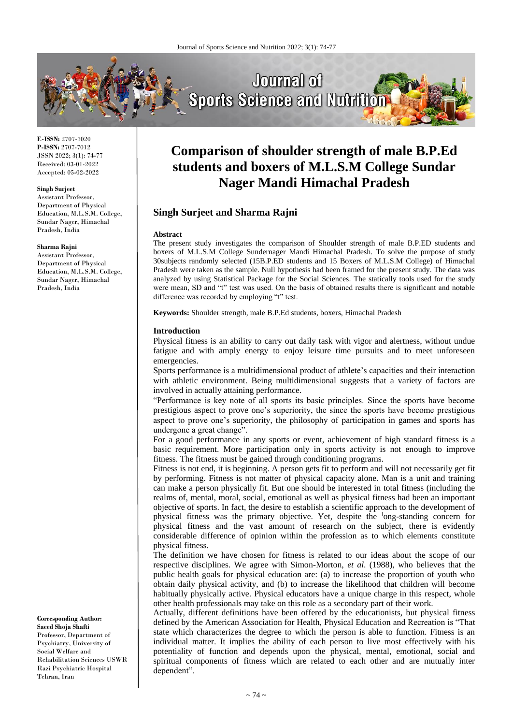

**E-ISSN:** 2707-7020 **P-ISSN:** 2707-7012 JSSN 2022; 3(1): 74-77 Received: 03-01-2022 Accepted: 05-02-2022

#### **Singh Surjeet**

Assistant Professor, Department of Physical Education, M.L.S.M. College, Sundar Nager, Himachal Pradesh, India

#### **Sharma Rajni**

Assistant Professor, Department of Physical Education, M.L.S.M. College, Sundar Nager, Himachal Pradesh, India

**Corresponding Author: Saeed Shoja Shafti** Professor, Department of Psychiatry, University of Social Welfare and Rehabilitation Sciences USWR Razi Psychiatric Hospital Tehran, Iran

# **Comparison of shoulder strength of male B.P.Ed students and boxers of M.L.S.M College Sundar Nager Mandi Himachal Pradesh**

# **Singh Surjeet and Sharma Rajni**

#### **Abstract**

The present study investigates the comparison of Shoulder strength of male B.P.ED students and boxers of M.L.S.M College Sundernager Mandi Himachal Pradesh. To solve the purpose of study 30subjects randomly selected (15B.P.ED students and 15 Boxers of M.L.S.M College) of Himachal Pradesh were taken as the sample. Null hypothesis had been framed for the present study. The data was analyzed by using Statistical Package for the Social Sciences. The statically tools used for the study were mean, SD and "t" test was used. On the basis of obtained results there is significant and notable difference was recorded by employing "t" test.

**Keywords:** Shoulder strength, male B.P.Ed students, boxers, Himachal Pradesh

#### **Introduction**

Physical fitness is an ability to carry out daily task with vigor and alertness, without undue fatigue and with amply energy to enjoy leisure time pursuits and to meet unforeseen emergencies.

Sports performance is a multidimensional product of athlete's capacities and their interaction with athletic environment. Being multidimensional suggests that a variety of factors are involved in actually attaining performance.

"Performance is key note of all sports its basic principles. Since the sports have become prestigious aspect to prove one's superiority, the since the sports have become prestigious aspect to prove one's superiority, the philosophy of participation in games and sports has undergone a great change".

For a good performance in any sports or event, achievement of high standard fitness is a basic requirement. More participation only in sports activity is not enough to improve fitness. The fitness must be gained through conditioning programs.

Fitness is not end, it is beginning. A person gets fit to perform and will not necessarily get fit by performing. Fitness is not matter of physical capacity alone. Man is a unit and training can make a person physically fit. But one should be interested in total fitness (including the realms of, mental, moral, social, emotional as well as physical fitness had been an important objective of sports. In fact, the desire to establish a scientific approach to the development of physical fitness was the primary objective. Yet, despite the <sup>l</sup>ong-standing concern for physical fitness and the vast amount of research on the subject, there is evidently considerable difference of opinion within the profession as to which elements constitute physical fitness.

The definition we have chosen for fitness is related to our ideas about the scope of our respective disciplines. We agree with Simon-Morton, *et al*. (1988), who believes that the public health goals for physical education are: (a) to increase the proportion of youth who obtain daily physical activity, and (b) to increase the likelihood that children will become habitually physically active. Physical educators have a unique charge in this respect, whole other health professionals may take on this role as a secondary part of their work.

Actually, different definitions have been offered by the educationists, but physical fitness defined by the American Association for Health, Physical Education and Recreation is "That state which characterizes the degree to which the person is able to function. Fitness is an individual matter. It implies the ability of each person to live most effectively with his potentiality of function and depends upon the physical, mental, emotional, social and spiritual components of fitness which are related to each other and are mutually inter dependent".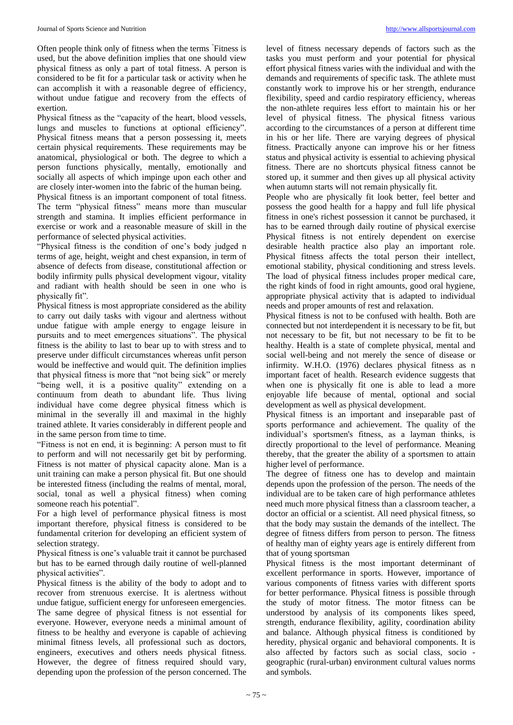Often people think only of fitness when the terms "Fitness is used, but the above definition implies that one should view physical fitness as only a part of total fitness. A person is considered to be fit for a particular task or activity when he can accomplish it with a reasonable degree of efficiency, without undue fatigue and recovery from the effects of exertion.

Physical fitness as the "capacity of the heart, blood vessels, lungs and muscles to functions at optional efficiency". Physical fitness means that a person possessing it, meets certain physical requirements. These requirements may be anatomical, physiological or both. The degree to which a person functions physically, mentally, emotionally and socially all aspects of which impinge upon each other and are closely inter-women into the fabric of the human being.

Physical fitness is an important component of total fitness. The term "physical fitness" means more than muscular strength and stamina. It implies efficient performance in exercise or work and a reasonable measure of skill in the performance of selected physical activities.

"Physical fitness is the condition of one's body judged n terms of age, height, weight and chest expansion, in term of absence of defects from disease, constitutional affection or bodily infirmity pulls physical development vigour, vitality and radiant with health should be seen in one who is physically fit".

Physical fitness is most appropriate considered as the ability to carry out daily tasks with vigour and alertness without undue fatigue with ample energy to engage leisure in pursuits and to meet emergences situations". The physical fitness is the ability to last to bear up to with stress and to preserve under difficult circumstances whereas unfit person would be ineffective and would quit. The definition implies that physical fitness is more that "not being sick" or merely "being well, it is a positive quality" extending on a continuum from death to abundant life. Thus living individual have come degree physical fitness which is minimal in the severally ill and maximal in the highly trained athlete. It varies considerably in different people and in the same person from time to time.

"Fitness is not en end, it is beginning: A person must to fit to perform and will not necessarily get bit by performing. Fitness is not matter of physical capacity alone. Man is a unit training can make a person physical fit. But one should be interested fitness (including the realms of mental, moral, social, tonal as well a physical fitness) when coming someone reach his potential".

For a high level of performance physical fitness is most important therefore, physical fitness is considered to be fundamental criterion for developing an efficient system of selection strategy.

Physical fitness is one's valuable trait it cannot be purchased but has to be earned through daily routine of well-planned physical activities".

Physical fitness is the ability of the body to adopt and to recover from strenuous exercise. It is alertness without undue fatigue, sufficient energy for unforeseen emergencies. The same degree of physical fitness is not essential for everyone. However, everyone needs a minimal amount of fitness to be healthy and everyone is capable of achieving minimal fitness levels, all professional such as doctors, engineers, executives and others needs physical fitness. However, the degree of fitness required should vary, depending upon the profession of the person concerned. The

level of fitness necessary depends of factors such as the tasks you must perform and your potential for physical effort physical fitness varies with the individual and with the demands and requirements of specific task. The athlete must constantly work to improve his or her strength, endurance flexibility, speed and cardio respiratory efficiency, whereas the non-athlete requires less effort to maintain his or her level of physical fitness. The physical fitness various according to the circumstances of a person at different time in his or her life. There are varying degrees of physical fitness. Practically anyone can improve his or her fitness status and physical activity is essential to achieving physical fitness. There are no shortcuts physical fitness cannot be stored up, it summer and then gives up all physical activity when autumn starts will not remain physically fit.

People who are physically fit look better, feel better and possess the good health for a happy and full life physical fitness in one's richest possession it cannot be purchased, it has to be earned through daily routine of physical exercise Physical fitness is not entirely dependent on exercise desirable health practice also play an important role. Physical fitness affects the total person their intellect, emotional stability, physical conditioning and stress levels. The load of physical fitness includes proper medical care, the right kinds of food in right amounts, good oral hygiene, appropriate physical activity that is adapted to individual needs and proper amounts of rest and relaxation.

Physical fitness is not to be confused with health. Both are connected but not interdependent it is necessary to be fit, but not necessary to be fit, but not necessary to be fit to be healthy. Health is a state of complete physical, mental and social well-being and not merely the sence of disease or infirmity. W.H.O. (1976) declares physical fitness as n important facet of health. Research evidence suggests that when one is physically fit one is able to lead a more enjoyable life because of mental, optional and social development as well as physical development.

Physical fitness is an important and inseparable past of sports performance and achievement. The quality of the individual's sportsmen's fitness, as a layman thinks, is directly proportional to the level of performance. Meaning thereby, that the greater the ability of a sportsmen to attain higher level of performance.

The degree of fitness one has to develop and maintain depends upon the profession of the person. The needs of the individual are to be taken care of high performance athletes need much more physical fitness than a classroom teacher, a doctor an official or a scientist. All need physical fitness, so that the body may sustain the demands of the intellect. The degree of fitness differs from person to person. The fitness of healthy man of eighty years age is entirely different from that of young sportsman

Physical fitness is the most important determinant of excellent performance in sports. However, importance of various components of fitness varies with different sports for better performance. Physical fitness is possible through the study of motor fitness. The motor fitness can be understood by analysis of its components likes speed, strength, endurance flexibility, agility, coordination ability and balance. Although physical fitness is conditioned by heredity, physical organic and behavioral components. It is also affected by factors such as social class, socio geographic (rural-urban) environment cultural values norms and symbols.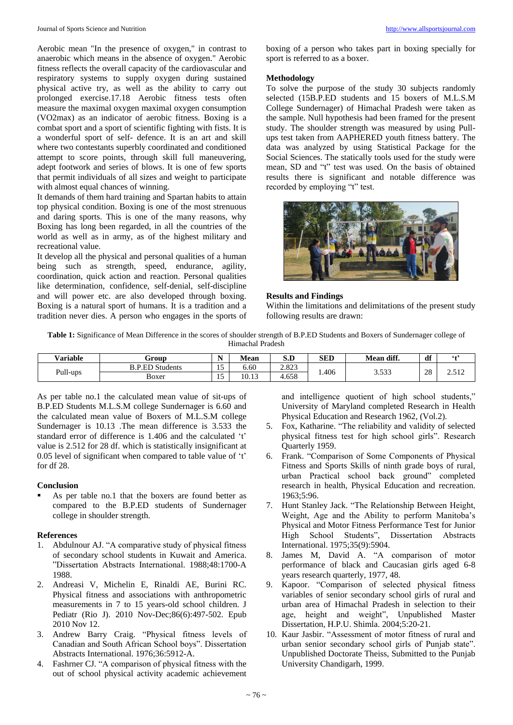Aerobic mean "In the presence of oxygen," in contrast to anaerobic which means in the absence of oxygen." Aerobic fitness reflects the overall capacity of the cardiovascular and respiratory systems to supply oxygen during sustained physical active try, as well as the ability to carry out prolonged exercise.17.18 Aerobic fitness tests often measure the maximal oxygen maximal oxygen consumption (VO2max) as an indicator of aerobic fitness. Boxing is a combat sport and a sport of scientific fighting with fists. It is a wonderful sport of self- defence. It is an art and skill where two contestants superbly coordinated and conditioned attempt to score points, through skill full maneuvering, adept footwork and series of blows. It is one of few sports that permit individuals of all sizes and weight to participate with almost equal chances of winning.

It demands of them hard training and Spartan habits to attain top physical condition. Boxing is one of the most strenuous and daring sports. This is one of the many reasons, why Boxing has long been regarded, in all the countries of the world as well as in army, as of the highest military and recreational value.

It develop all the physical and personal qualities of a human being such as strength, speed, endurance, agility, coordination, quick action and reaction. Personal qualities like determination, confidence, self-denial, self-discipline and will power etc. are also developed through boxing. Boxing is a natural sport of humans. It is a tradition and a tradition never dies. A person who engages in the sports of boxing of a person who takes part in boxing specially for sport is referred to as a boxer.

## **Methodology**

To solve the purpose of the study 30 subjects randomly selected (15B.P.ED students and 15 boxers of M.L.S.M College Sundernager) of Himachal Pradesh were taken as the sample. Null hypothesis had been framed for the present study. The shoulder strength was measured by using Pullups test taken from AAPHERED youth fitness battery. The data was analyzed by using Statistical Package for the Social Sciences. The statically tools used for the study were mean, SD and "t" test was used. On the basis of obtained results there is significant and notable difference was recorded by employing "t" test.



# **Results and Findings**

Within the limitations and delimitations of the present study following results are drawn:

**Table 1:** Significance of Mean Difference in the scores of shoulder strength of B.P.ED Students and Boxers of Sundernager college of Himachal Pradesh

| <b>Variable</b> | Group                  | $\sim$ $\sim$ | Mean  | $\mathbf{r}$<br> | <b>SED</b> | Mean diff.    | df       | $6 +$                 |
|-----------------|------------------------|---------------|-------|------------------|------------|---------------|----------|-----------------------|
| Pull-ups        | <b>B.P.ED Students</b> | . .           | 6.60  | റ റൊ<br>2.823    | .406       | 2522<br>J.JJJ | ററ<br>28 | F10<br>$\overline{a}$ |
|                 | Boxer                  | -<br>.        | 10.13 | 4.658            |            |               |          |                       |

As per table no.1 the calculated mean value of sit-ups of B.P.ED Students M.L.S.M college Sundernager is 6.60 and the calculated mean value of Boxers of M.L.S.M college Sundernager is 10.13 .The mean difference is 3.533 the standard error of difference is 1.406 and the calculated 't' value is 2.512 for 28 df. which is statistically insignificant at 0.05 level of significant when compared to table value of 't' for df 28.

# **Conclusion**

 As per table no.1 that the boxers are found better as compared to the B.P.ED students of Sundernager college in shoulder strength.

## **References**

- 1. Abdulnour AJ. "A comparative study of physical fitness of secondary school students in Kuwait and America. "Dissertation Abstracts International. 1988;48:1700-A 1988.
- 2. Andreasi V, Michelin E, Rinaldi AE, Burini RC. Physical fitness and associations with anthropometric measurements in 7 to 15 years-old school children. J Pediatr (Rio J). 2010 Nov-Dec;86(6):497-502. Epub 2010 Nov 12.
- 3. Andrew Barry Craig. "Physical fitness levels of Canadian and South African School boys". Dissertation Abstracts International. 1976;36:5912-A.
- 4. Fashrner CJ. "A comparison of physical fitness with the out of school physical activity academic achievement

and intelligence quotient of high school students," University of Maryland completed Research in Health Physical Education and Research 1962, (Vol.2).

- 5. Fox, Katharine. "The reliability and validity of selected physical fitness test for high school girls". Research Quarterly 1959.
- 6. Frank. "Comparison of Some Components of Physical Fitness and Sports Skills of ninth grade boys of rural, urban Practical school back ground" completed research in health, Physical Education and recreation. 1963;5:96.
- 7. Hunt Stanley Jack. "The Relationship Between Height, Weight, Age and the Ability to perform Manitoba's Physical and Motor Fitness Performance Test for Junior High School Students", Dissertation Abstracts International. 1975;35(9):5904.
- 8. James M, David A. "A comparison of motor performance of black and Caucasian girls aged 6-8 years research quarterly, 1977, 48.
- 9. Kapoor. "Comparison of selected physical fitness variables of senior secondary school girls of rural and urban area of Himachal Pradesh in selection to their age, height and weight", Unpublished Master Dissertation, H.P.U. Shimla. 2004;5:20-21.
- 10. Kaur Jasbir. "Assessment of motor fitness of rural and urban senior secondary school girls of Punjab state". Unpublished Doctorate Theiss, Submitted to the Punjab University Chandigarh, 1999.